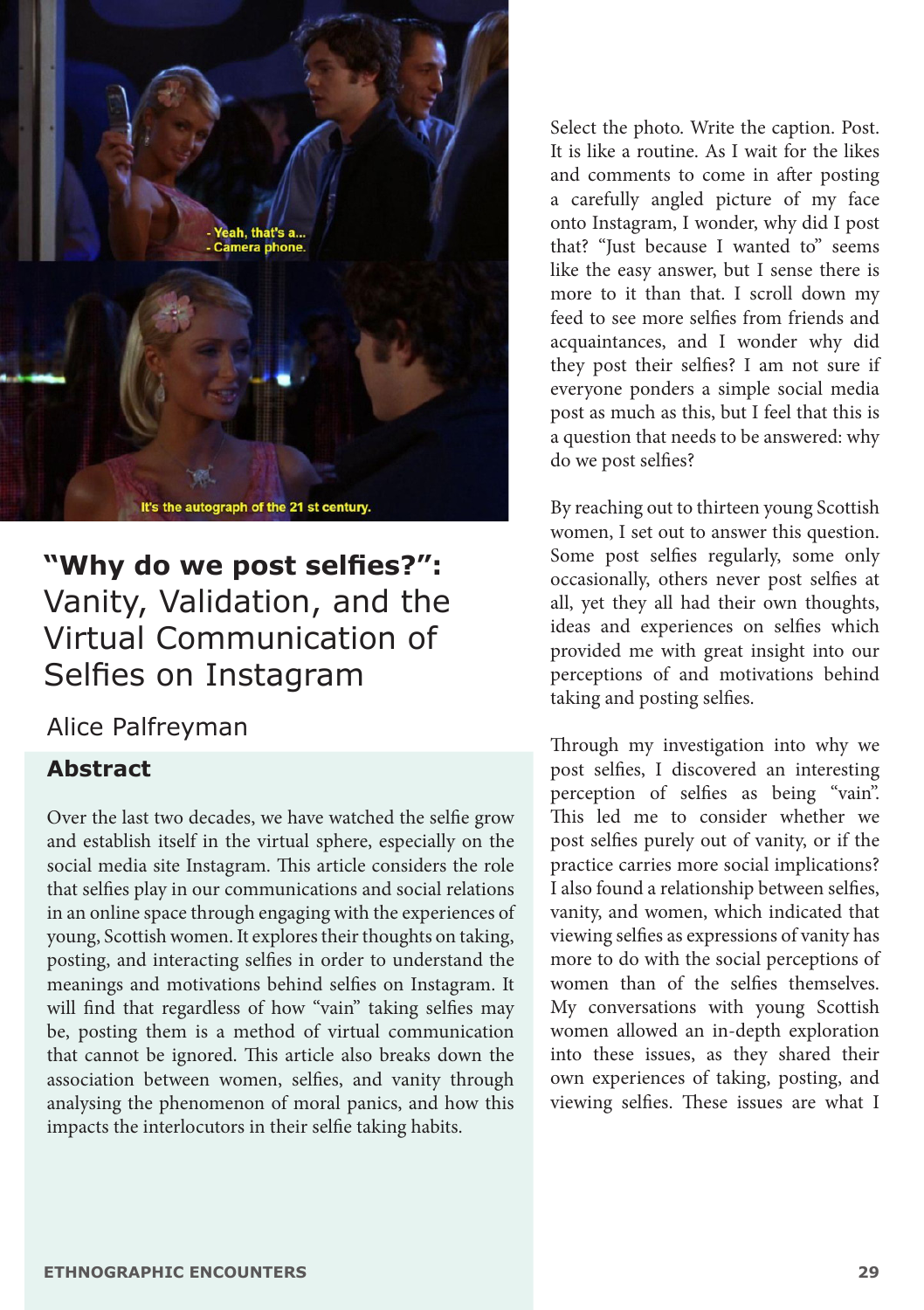

# **"Why do we post selfies?":**  Vanity, Validation, and the Virtual Communication of Selfies on Instagram

# Alice Palfreyman

### **Abstract**

Over the last two decades, we have watched the selfie grow and establish itself in the virtual sphere, especially on the social media site Instagram. This article considers the role that selfies play in our communications and social relations in an online space through engaging with the experiences of young, Scottish women. It explores their thoughts on taking, posting, and interacting selfies in order to understand the meanings and motivations behind selfies on Instagram. It will find that regardless of how "vain" taking selfies may be, posting them is a method of virtual communication that cannot be ignored. This article also breaks down the association between women, selfies, and vanity through analysing the phenomenon of moral panics, and how this impacts the interlocutors in their selfie taking habits.

Select the photo. Write the caption. Post. It is like a routine. As I wait for the likes and comments to come in after posting a carefully angled picture of my face onto Instagram, I wonder, why did I post that? "Just because I wanted to" seems like the easy answer, but I sense there is more to it than that. I scroll down my feed to see more selfies from friends and acquaintances, and I wonder why did they post their selfies? I am not sure if everyone ponders a simple social media post as much as this, but I feel that this is a question that needs to be answered: why do we post selfies?

By reaching out to thirteen young Scottish women, I set out to answer this question. Some post selfies regularly, some only occasionally, others never post selfies at all, yet they all had their own thoughts, ideas and experiences on selfies which provided me with great insight into our perceptions of and motivations behind taking and posting selfies.

Through my investigation into why we post selfies, I discovered an interesting perception of selfies as being "vain". This led me to consider whether we post selfies purely out of vanity, or if the practice carries more social implications? I also found a relationship between selfies, vanity, and women, which indicated that viewing selfies as expressions of vanity has more to do with the social perceptions of women than of the selfies themselves. My conversations with young Scottish women allowed an in-depth exploration into these issues, as they shared their own experiences of taking, posting, and viewing selfies. These issues are what I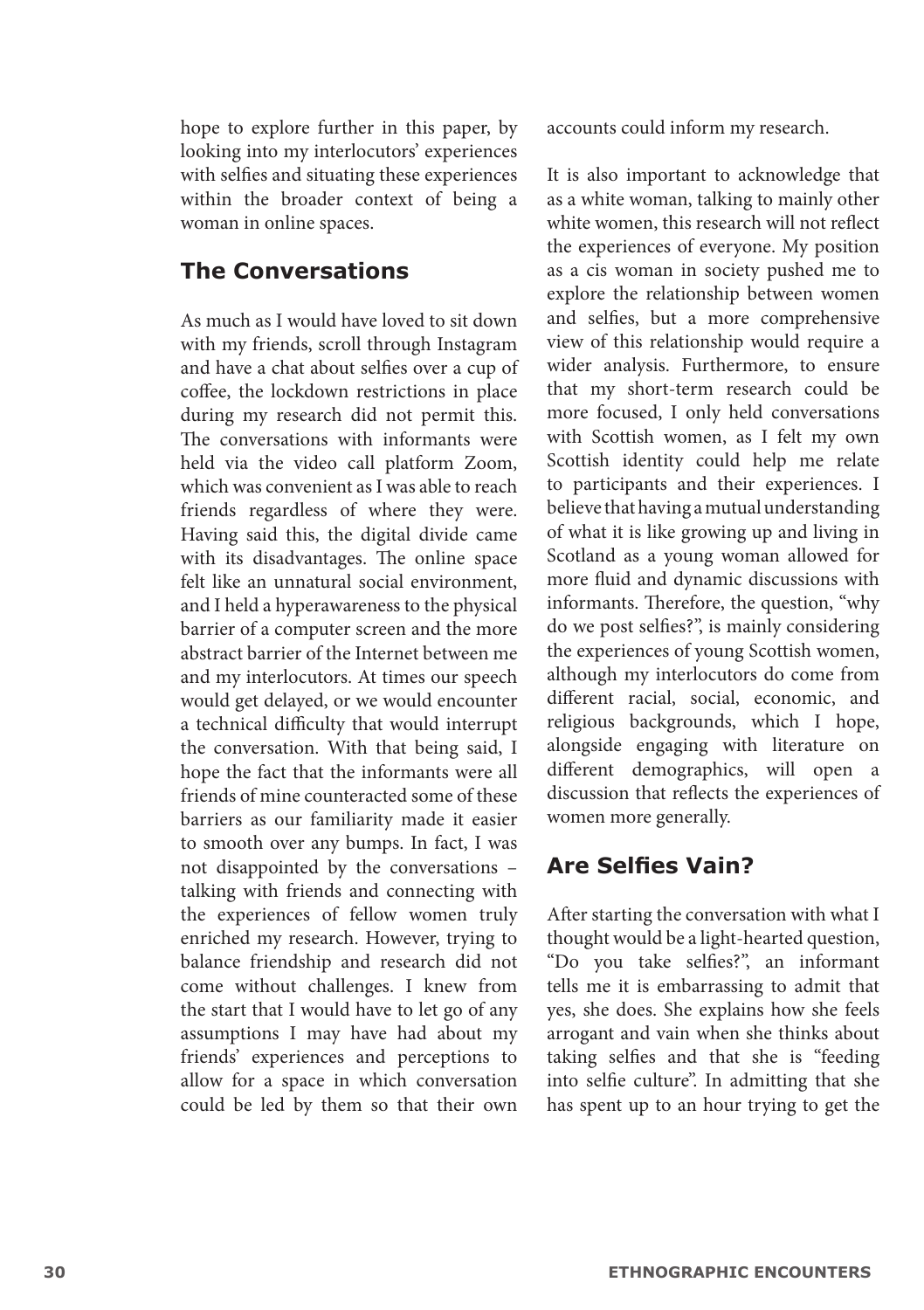hope to explore further in this paper, by looking into my interlocutors' experiences with selfies and situating these experiences within the broader context of being a woman in online spaces.

#### **The Conversations**

As much as I would have loved to sit down with my friends, scroll through Instagram and have a chat about selfies over a cup of coffee, the lockdown restrictions in place during my research did not permit this. The conversations with informants were held via the video call platform Zoom, which was convenient as I was able to reach friends regardless of where they were. Having said this, the digital divide came with its disadvantages. The online space felt like an unnatural social environment, and I held a hyperawareness to the physical barrier of a computer screen and the more abstract barrier of the Internet between me and my interlocutors. At times our speech would get delayed, or we would encounter a technical difficulty that would interrupt the conversation. With that being said, I hope the fact that the informants were all friends of mine counteracted some of these barriers as our familiarity made it easier to smooth over any bumps. In fact, I was not disappointed by the conversations – talking with friends and connecting with the experiences of fellow women truly enriched my research. However, trying to balance friendship and research did not come without challenges. I knew from the start that I would have to let go of any assumptions I may have had about my friends' experiences and perceptions to allow for a space in which conversation could be led by them so that their own

accounts could inform my research.

It is also important to acknowledge that as a white woman, talking to mainly other white women, this research will not reflect the experiences of everyone. My position as a cis woman in society pushed me to explore the relationship between women and selfies, but a more comprehensive view of this relationship would require a wider analysis. Furthermore, to ensure that my short-term research could be more focused, I only held conversations with Scottish women, as I felt my own Scottish identity could help me relate to participants and their experiences. I believe that having a mutual understanding of what it is like growing up and living in Scotland as a young woman allowed for more fluid and dynamic discussions with informants. Therefore, the question, "why do we post selfies?", is mainly considering the experiences of young Scottish women, although my interlocutors do come from different racial, social, economic, and religious backgrounds, which I hope, alongside engaging with literature on different demographics, will open a discussion that reflects the experiences of women more generally.

# **Are Selfies Vain?**

After starting the conversation with what I thought would be a light-hearted question, "Do you take selfies?", an informant tells me it is embarrassing to admit that yes, she does. She explains how she feels arrogant and vain when she thinks about taking selfies and that she is "feeding into selfie culture". In admitting that she has spent up to an hour trying to get the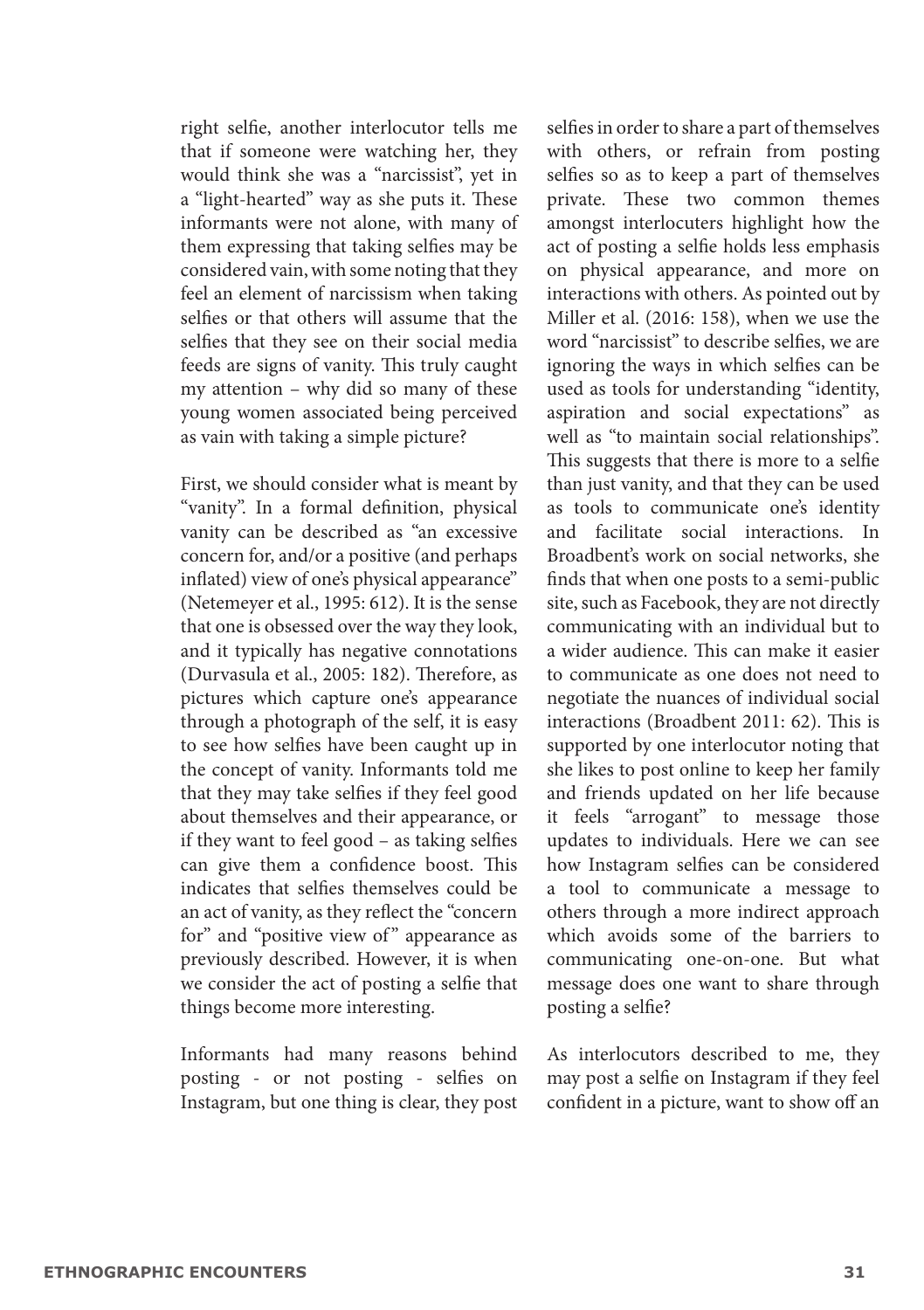right selfie, another interlocutor tells me that if someone were watching her, they would think she was a "narcissist", yet in a "light-hearted" way as she puts it. These informants were not alone, with many of them expressing that taking selfies may be considered vain, with some noting that they feel an element of narcissism when taking selfies or that others will assume that the selfies that they see on their social media feeds are signs of vanity. This truly caught my attention – why did so many of these young women associated being perceived as vain with taking a simple picture?

First, we should consider what is meant by "vanity". In a formal definition, physical vanity can be described as "an excessive concern for, and/or a positive (and perhaps inflated) view of one's physical appearance" (Netemeyer et al., 1995: 612). It is the sense that one is obsessed over the way they look, and it typically has negative connotations (Durvasula et al., 2005: 182). Therefore, as pictures which capture one's appearance through a photograph of the self, it is easy to see how selfies have been caught up in the concept of vanity. Informants told me that they may take selfies if they feel good about themselves and their appearance, or if they want to feel good – as taking selfies can give them a confidence boost. This indicates that selfies themselves could be an act of vanity, as they reflect the "concern for" and "positive view of" appearance as previously described. However, it is when we consider the act of posting a selfie that things become more interesting.

Informants had many reasons behind posting - or not posting - selfies on Instagram, but one thing is clear, they post

selfies in order to share a part of themselves with others, or refrain from posting selfies so as to keep a part of themselves private. These two common themes amongst interlocuters highlight how the act of posting a selfie holds less emphasis on physical appearance, and more on interactions with others. As pointed out by Miller et al. (2016: 158), when we use the word "narcissist" to describe selfies, we are ignoring the ways in which selfies can be used as tools for understanding "identity, aspiration and social expectations" as well as "to maintain social relationships". This suggests that there is more to a selfie than just vanity, and that they can be used as tools to communicate one's identity and facilitate social interactions. In Broadbent's work on social networks, she finds that when one posts to a semi-public site, such as Facebook, they are not directly communicating with an individual but to a wider audience. This can make it easier to communicate as one does not need to negotiate the nuances of individual social interactions (Broadbent 2011: 62). This is supported by one interlocutor noting that she likes to post online to keep her family and friends updated on her life because it feels "arrogant" to message those updates to individuals. Here we can see how Instagram selfies can be considered a tool to communicate a message to others through a more indirect approach which avoids some of the barriers to communicating one-on-one. But what message does one want to share through posting a selfie?

As interlocutors described to me, they may post a selfie on Instagram if they feel confident in a picture, want to show off an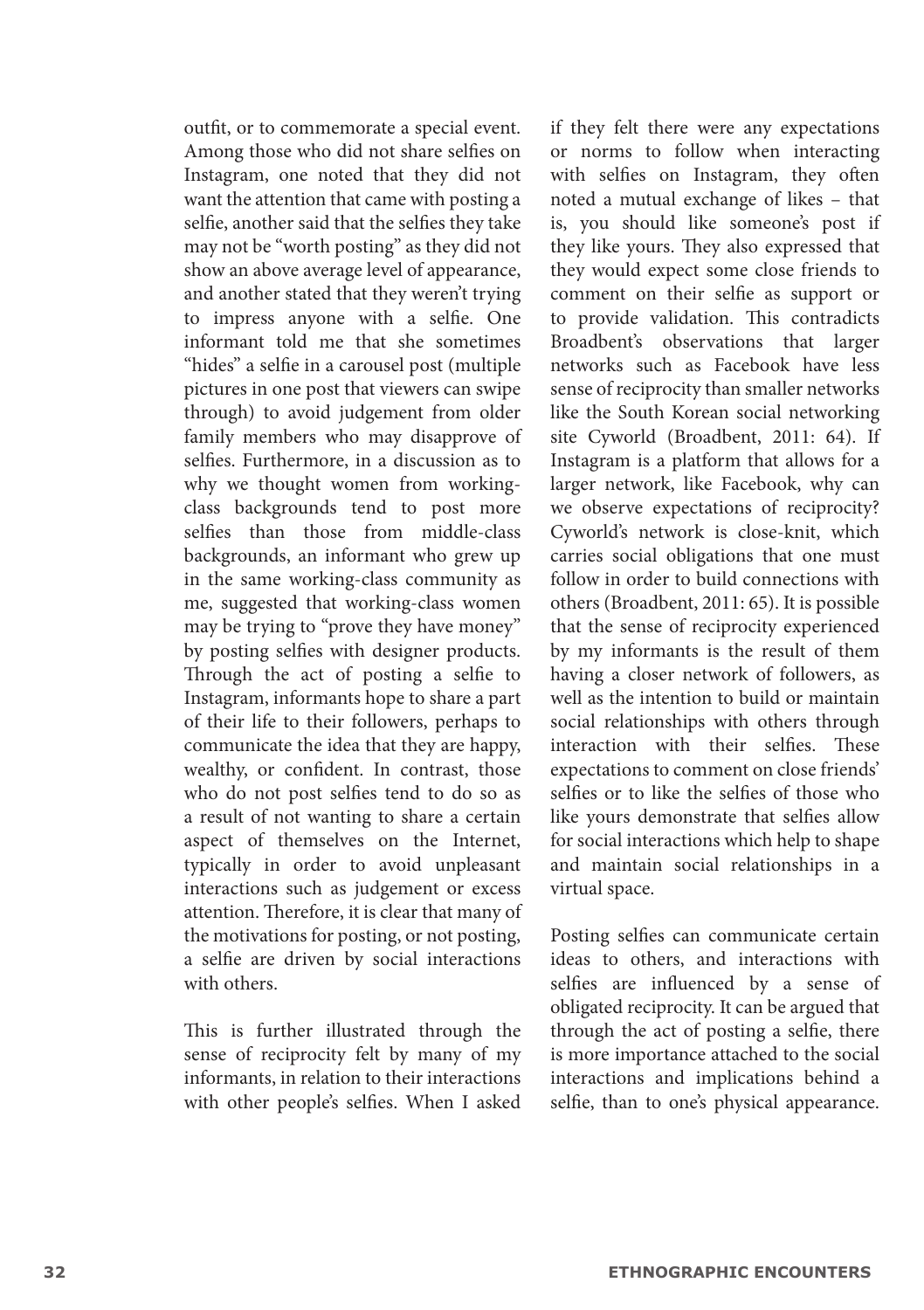outfit, or to commemorate a special event. Among those who did not share selfies on Instagram, one noted that they did not want the attention that came with posting a selfie, another said that the selfies they take may not be "worth posting" as they did not show an above average level of appearance, and another stated that they weren't trying to impress anyone with a selfie. One informant told me that she sometimes "hides" a selfie in a carousel post (multiple pictures in one post that viewers can swipe through) to avoid judgement from older family members who may disapprove of selfies. Furthermore, in a discussion as to why we thought women from workingclass backgrounds tend to post more selfies than those from middle-class backgrounds, an informant who grew up in the same working-class community as me, suggested that working-class women may be trying to "prove they have money" by posting selfies with designer products. Through the act of posting a selfie to Instagram, informants hope to share a part of their life to their followers, perhaps to communicate the idea that they are happy, wealthy, or confident. In contrast, those who do not post selfies tend to do so as a result of not wanting to share a certain aspect of themselves on the Internet, typically in order to avoid unpleasant interactions such as judgement or excess attention. Therefore, it is clear that many of the motivations for posting, or not posting, a selfie are driven by social interactions with others.

This is further illustrated through the sense of reciprocity felt by many of my informants, in relation to their interactions with other people's selfies. When I asked if they felt there were any expectations or norms to follow when interacting with selfies on Instagram, they often noted a mutual exchange of likes – that is, you should like someone's post if they like yours. They also expressed that they would expect some close friends to comment on their selfie as support or to provide validation. This contradicts Broadbent's observations that larger networks such as Facebook have less sense of reciprocity than smaller networks like the South Korean social networking site Cyworld (Broadbent, 2011: 64). If Instagram is a platform that allows for a larger network, like Facebook, why can we observe expectations of reciprocity? Cyworld's network is close-knit, which carries social obligations that one must follow in order to build connections with others (Broadbent, 2011: 65). It is possible that the sense of reciprocity experienced by my informants is the result of them having a closer network of followers, as well as the intention to build or maintain social relationships with others through interaction with their selfies. These expectations to comment on close friends' selfies or to like the selfies of those who like yours demonstrate that selfies allow for social interactions which help to shape and maintain social relationships in a virtual space.

Posting selfies can communicate certain ideas to others, and interactions with selfies are influenced by a sense of obligated reciprocity. It can be argued that through the act of posting a selfie, there is more importance attached to the social interactions and implications behind a selfie, than to one's physical appearance.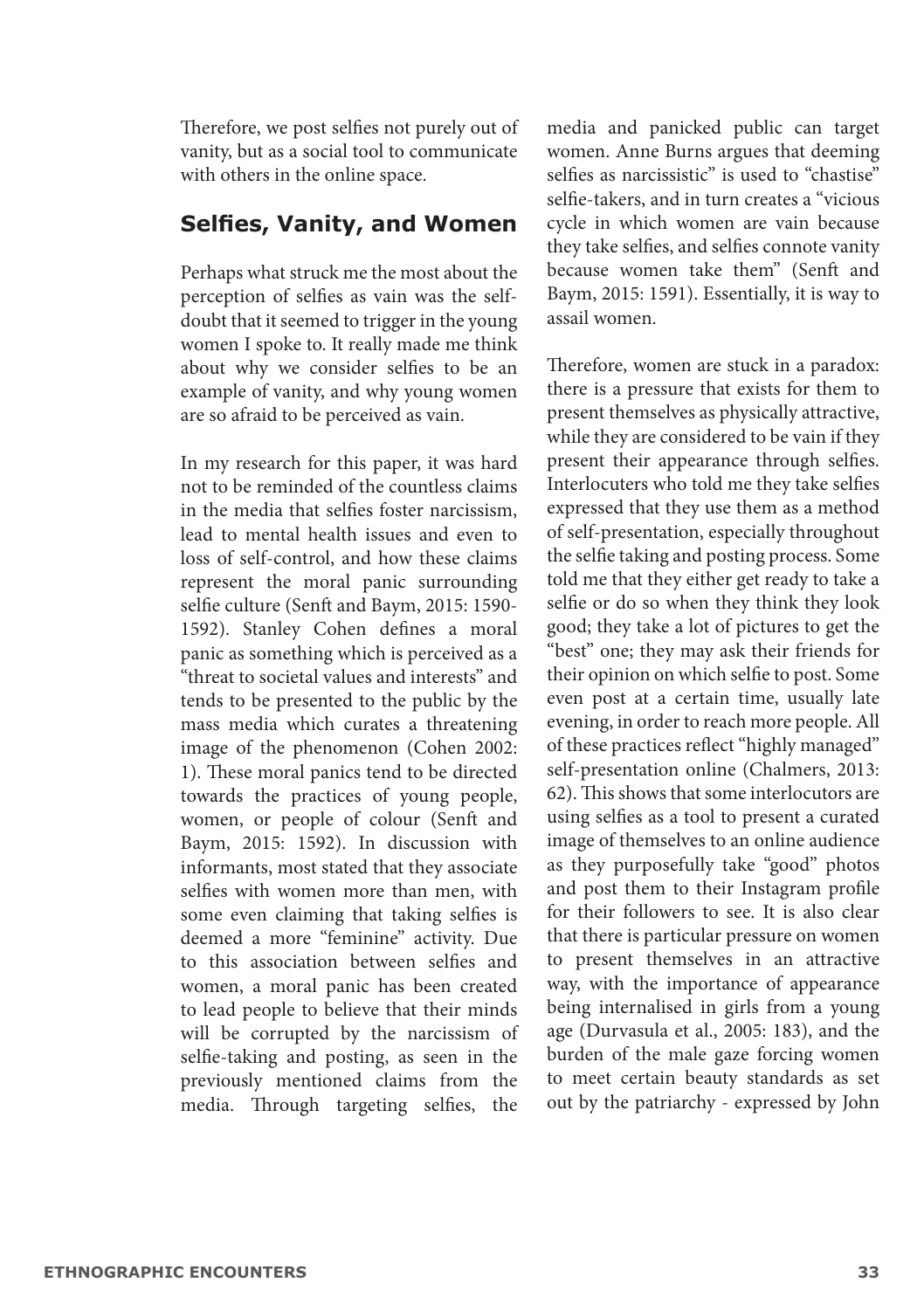Therefore, we post selfies not purely out of vanity, but as a social tool to communicate with others in the online space.

#### **Selfies, Vanity, and Women**

Perhaps what struck me the most about the perception of selfies as vain was the selfdoubt that it seemed to trigger in the young women I spoke to. It really made me think about why we consider selfies to be an example of vanity, and why young women are so afraid to be perceived as vain.

In my research for this paper, it was hard not to be reminded of the countless claims in the media that selfies foster narcissism, lead to mental health issues and even to loss of self-control, and how these claims represent the moral panic surrounding selfie culture (Senft and Baym, 2015: 1590- 1592). Stanley Cohen defines a moral panic as something which is perceived as a "threat to societal values and interests" and tends to be presented to the public by the mass media which curates a threatening image of the phenomenon (Cohen 2002: 1). These moral panics tend to be directed towards the practices of young people, women, or people of colour (Senft and Baym, 2015: 1592). In discussion with informants, most stated that they associate selfies with women more than men, with some even claiming that taking selfies is deemed a more "feminine" activity. Due to this association between selfies and women, a moral panic has been created to lead people to believe that their minds will be corrupted by the narcissism of selfie-taking and posting, as seen in the previously mentioned claims from the media. Through targeting selfies, the media and panicked public can target women. Anne Burns argues that deeming selfies as narcissistic" is used to "chastise" selfie-takers, and in turn creates a "vicious cycle in which women are vain because they take selfies, and selfies connote vanity because women take them" (Senft and Baym, 2015: 1591). Essentially, it is way to assail women.

Therefore, women are stuck in a paradox: there is a pressure that exists for them to present themselves as physically attractive, while they are considered to be vain if they present their appearance through selfies. Interlocuters who told me they take selfies expressed that they use them as a method of self-presentation, especially throughout the selfie taking and posting process. Some told me that they either get ready to take a selfie or do so when they think they look good; they take a lot of pictures to get the "best" one; they may ask their friends for their opinion on which selfie to post. Some even post at a certain time, usually late evening, in order to reach more people. All of these practices reflect "highly managed" self-presentation online (Chalmers, 2013: 62). This shows that some interlocutors are using selfies as a tool to present a curated image of themselves to an online audience as they purposefully take "good" photos and post them to their Instagram profile for their followers to see. It is also clear that there is particular pressure on women to present themselves in an attractive way, with the importance of appearance being internalised in girls from a young age (Durvasula et al., 2005: 183), and the burden of the male gaze forcing women to meet certain beauty standards as set out by the patriarchy - expressed by John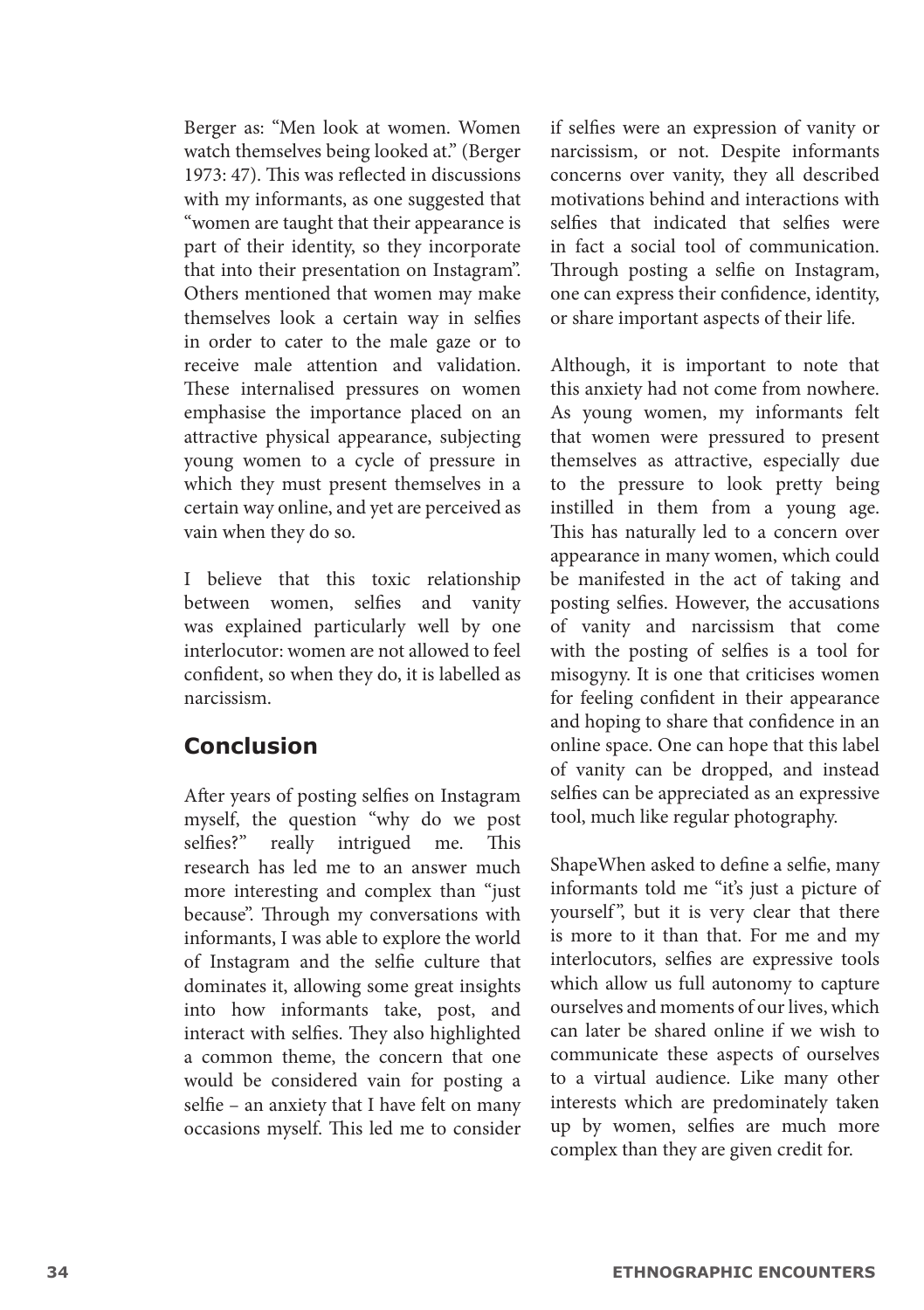Berger as: "Men look at women. Women watch themselves being looked at." (Berger 1973: 47). This was reflected in discussions with my informants, as one suggested that "women are taught that their appearance is part of their identity, so they incorporate that into their presentation on Instagram". Others mentioned that women may make themselves look a certain way in selfies in order to cater to the male gaze or to receive male attention and validation. These internalised pressures on women emphasise the importance placed on an attractive physical appearance, subjecting young women to a cycle of pressure in which they must present themselves in a certain way online, and yet are perceived as vain when they do so.

I believe that this toxic relationship between women, selfies and vanity was explained particularly well by one interlocutor: women are not allowed to feel confident, so when they do, it is labelled as narcissism.

#### **Conclusion**

After years of posting selfies on Instagram myself, the question "why do we post<br>selfies?" really intrigued me. This really intrigued me. This research has led me to an answer much more interesting and complex than "just because". Through my conversations with informants, I was able to explore the world of Instagram and the selfie culture that dominates it, allowing some great insights into how informants take, post, and interact with selfies. They also highlighted a common theme, the concern that one would be considered vain for posting a selfie – an anxiety that I have felt on many occasions myself. This led me to consider if selfies were an expression of vanity or narcissism, or not. Despite informants concerns over vanity, they all described motivations behind and interactions with selfies that indicated that selfies were in fact a social tool of communication. Through posting a selfie on Instagram, one can express their confidence, identity, or share important aspects of their life.

Although, it is important to note that this anxiety had not come from nowhere. As young women, my informants felt that women were pressured to present themselves as attractive, especially due to the pressure to look pretty being instilled in them from a young age. This has naturally led to a concern over appearance in many women, which could be manifested in the act of taking and posting selfies. However, the accusations of vanity and narcissism that come with the posting of selfies is a tool for misogyny. It is one that criticises women for feeling confident in their appearance and hoping to share that confidence in an online space. One can hope that this label of vanity can be dropped, and instead selfies can be appreciated as an expressive tool, much like regular photography.

ShapeWhen asked to define a selfie, many informants told me "it's just a picture of yourself", but it is very clear that there is more to it than that. For me and my interlocutors, selfies are expressive tools which allow us full autonomy to capture ourselves and moments of our lives, which can later be shared online if we wish to communicate these aspects of ourselves to a virtual audience. Like many other interests which are predominately taken up by women, selfies are much more complex than they are given credit for.